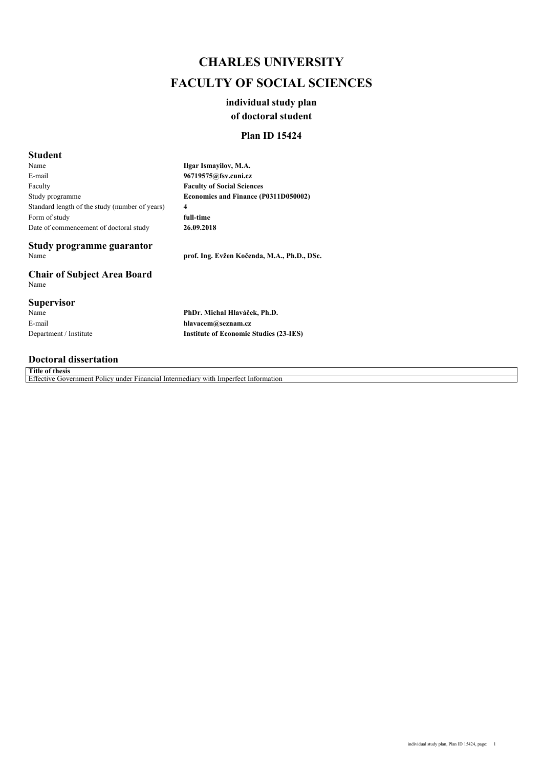## *CHARLES UNIVERSITY FACULTY OF SOCIAL SCIENCES*

## *individual study plan of doctoral student*

## *Plan ID 15424*

## *Student*

*Name E-mail Faculty Study programme Standard length of the study (number of years) Form of study Date of commencement of doctoral study*

*Ilgar Ismayilov, M.A. 96719575@fsv.cuni.cz Faculty of Social Sciences Economics and Finance (P0311D050002) 4 full-time 26.09.2018*

# *Study programme guarantor*

*Chair of Subject Area Board Name*

#### *Supervisor*

*Name E-mail Department / Institute* *Name prof. Ing. Evžen Kočenda, M.A., Ph.D., DSc.*

*PhDr. Michal Hlaváček, Ph.D. hlavacem@seznam.cz Institute of Economic Studies (23-IES)*

### *Doctoral dissertation*

*Title of thesis Effective Government Policy under Financial Intermediary with Imperfect Information*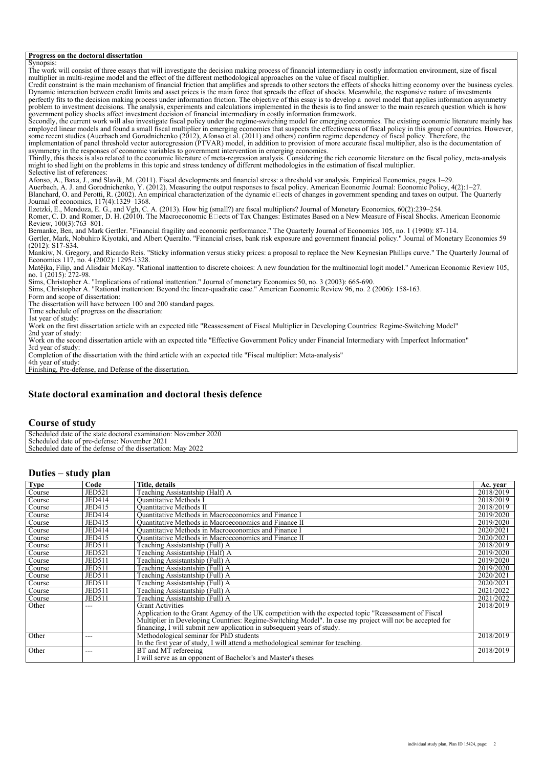#### *Progress on the doctoral dissertation*

*Synopsis: The work will consist of three essays that will investigate the decision making process of financial intermediary in costly information environment, size of fiscal multiplier in multi-regime model and the effect of the different methodological approaches on the value of fiscal multiplier. Credit constraint is the main mechanism of financial friction that amplifies and spreads to other sectors the effects of shocks hitting economy over the business cycles. Dynamic interaction between credit limits and asset prices is the main force that spreads the effect of shocks. Meanwhile, the responsive nature of investments perfectly fits to the decision making process under information friction. The objective of this essay is to develop a novel model that applies information asymmetry problem to investment decisions. The analysis, experiments and calculations implemented in the thesis is to find answer to the main research question which is how government policy shocks affect investment decision of financial intermediary in costly information framework. Secondly, the current work will also investigate fiscal policy under the regime-switching model for emerging economies. The existing economic literature mainly has employed linear models and found a small fiscal multiplier in emerging economies that suspects the effectiveness of fiscal policy in this group of countries. However, some recent studies (Auerbach and Gorodnichenko (2012), Afonso et al. (2011) and others) confirm regime dependency of fiscal policy. Therefore, the implementation of panel threshold vector autoregression (PTVAR) model, in addition to provision of more accurate fiscal multiplier, also is the documentation of asymmetry in the responses of economic variables to government intervention in emerging economies. Thirdly, this thesis is also related to the economic literature of meta-regression analysis. Considering the rich economic literature on the fiscal policy, meta-analysis might to shed light on the problems in this topic and stress tendency of different methodologies in the estimation of fiscal multiplier. Selective list of references: Afonso, A., Baxa, J., and Slavik, M. (2011). Fiscal developments and financial stress: a threshold var analysis. Empirical Economics, pages 1–29. Auerbach, A. J. and Gorodnichenko, Y. (2012). Measuring the output responses to fiscal policy. American Economic Journal: Economic Policy, 4(2):1–27. Blanchard, O. and Perotti, R. (2002). An empirical characterization of the dynamic effects of changes in government spending and taxes on output. The Quarterly Journal of economics, 117(4):1329–1368. Ilzetzki, E., Mendoza, E. G., and Vgh, C. A. (2013). How big (small?) are fiscal multipliers? Journal of Monetary Economics, 60(2):239–254. Romer, C. D. and Romer, D. H. (2010). The Macroeconomic E* □ects of Tax Changes: Estimates Based on a New Measure of Fiscal Shocks. American Economic *Review, 100(3):763–801. Bernanke, Ben, and Mark Gertler. "Financial fragility and economic performance." The Quarterly Journal of Economics 105, no. 1 (1990): 87-114. Gertler, Mark, Nobuhiro Kiyotaki, and Albert Queralto. "Financial crises, bank risk exposure and government financial policy." Journal of Monetary Economics 59 (2012): S17-S34. Mankiw, N. Gregory, and Ricardo Reis. "Sticky information versus sticky prices: a proposal to replace the New Keynesian Phillips curve." The Quarterly Journal of Economics 117, no. 4 (2002): 1295-1328. Matějka, Filip, and Alisdair McKay. "Rational inattention to discrete choices: A new foundation for the multinomial logit model." American Economic Review 105, no. 1 (2015): 272-98. Sims, Christopher A. "Implications of rational inattention." Journal of monetary Economics 50, no. 3 (2003): 665-690. Sims, Christopher A. "Rational inattention: Beyond the linear-quadratic case." American Economic Review 96, no. 2 (2006): 158-163. Form and scope of dissertation: The dissertation will have between 100 and 200 standard pages. Time schedule of progress on the dissertation: 1st year of study: Work on the first dissertation article with an expected title "Reassessment of Fiscal Multiplier in Developing Countries: Regime-Switching Model" 2nd year of study: Work on the second dissertation article with an expected title "Effective Government Policy under Financial Intermediary with Imperfect Information" 3rd year of study: Completion of the dissertation with the third article with an expected title "Fiscal multiplier: Meta-analysis" 4th year of study:*

*Finishing, Pre-defense, and Defense of the dissertation.*

#### *State doctoral examination and doctoral thesis defence*

#### *Course of study*

*Scheduled date of the state doctoral examination: November 2020 Scheduled date of pre-defense: November 2021 Scheduled date of the defense of the dissertation: May 2022*

#### *Duties – study plan*

| <b>Type</b> | Code          | Title, details                                                                                           | Ac. year  |
|-------------|---------------|----------------------------------------------------------------------------------------------------------|-----------|
| Course      | <b>JED521</b> | Teaching Assistantship (Half) A                                                                          | 2018/2019 |
| Course      | JED414        | Quantitative Methods I                                                                                   | 2018/2019 |
| Course      | JED415        | Quantitative Methods II                                                                                  | 2018/2019 |
| Course      | JED414        | Quantitative Methods in Macroeconomics and Finance I                                                     | 2019/2020 |
| Course      | JED415        | Ouantitative Methods in Macroeconomics and Finance II                                                    | 2019/2020 |
| Course      | JED414        | Ouantitative Methods in Macroeconomics and Finance I                                                     | 2020/2021 |
| Course      | <b>JED415</b> | Ouantitative Methods in Macroeconomics and Finance II                                                    | 2020/2021 |
| Course      | <b>JED511</b> | Teaching Assistantship (Full) A                                                                          | 2018/2019 |
| Course      | <b>JED521</b> | Teaching Assistantship (Half) A                                                                          | 2019/2020 |
| Course      | <b>JED511</b> | Teaching Assistantship (Full) A                                                                          | 2019/2020 |
| Course      | <b>JED511</b> | Teaching Assistantship (Full) A                                                                          | 2019/2020 |
| Course      | <b>JED511</b> | Teaching Assistantship (Full) A                                                                          | 2020/2021 |
| Course      | <b>JED511</b> | Teaching Assistantship (Full) A                                                                          | 2020/2021 |
| Course      | <b>JED511</b> | Teaching Assistantship (Full) A                                                                          | 2021/2022 |
| Course      | <b>JED511</b> | Teaching Assistantship (Full) A                                                                          | 2021/2022 |
| Other       | $---$         | <b>Grant Activities</b>                                                                                  | 2018/2019 |
|             |               | Application to the Grant Agency of the UK competition with the expected topic "Reassessment of Fiscal    |           |
|             |               | Multiplier in Developing Countries: Regime-Switching Model". In case my project will not be accepted for |           |
|             |               | financing, I will submit new application in subsequent years of study.                                   |           |
| Other       | $---$         | Methodological seminar for PhD students                                                                  | 2018/2019 |
|             |               | In the first year of study, I will attend a methodological seminar for teaching.                         |           |
| Other       | ---           | BT and MT refereeing                                                                                     | 2018/2019 |
|             |               | I will serve as an opponent of Bachelor's and Master's theses                                            |           |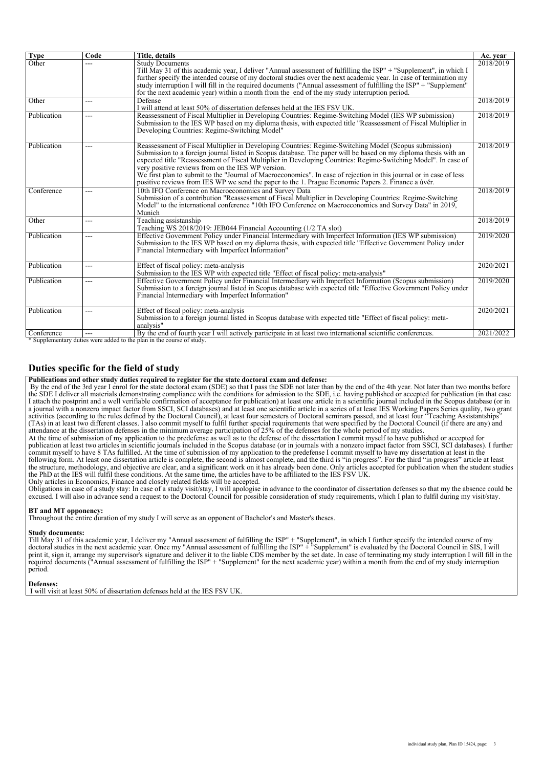| <b>Type</b> | Code           | Title, details                                                                                                                                                                                                                                                                                                                                                                                                                                                                                                                                                                                                               | Ac. year  |
|-------------|----------------|------------------------------------------------------------------------------------------------------------------------------------------------------------------------------------------------------------------------------------------------------------------------------------------------------------------------------------------------------------------------------------------------------------------------------------------------------------------------------------------------------------------------------------------------------------------------------------------------------------------------------|-----------|
| Other       |                | <b>Study Documents</b><br>Till May 31 of this academic year, I deliver "Annual assessment of fulfilling the ISP" + "Supplement", in which I<br>further specify the intended course of my doctoral studies over the next academic year. In case of termination my<br>study interruption I will fill in the required documents ("Annual assessment of fulfilling the ISP" + "Supplement"<br>for the next academic year) within a month from the end of the my study interruption period.                                                                                                                                       | 2018/2019 |
| Other       | ---            | Defense<br>I will attend at least 50% of dissertation defenses held at the IES FSV UK.                                                                                                                                                                                                                                                                                                                                                                                                                                                                                                                                       | 2018/2019 |
| Publication | $---$          | Reassessment of Fiscal Multiplier in Developing Countries: Regime-Switching Model (IES WP submission)<br>Submission to the IES WP based on my diploma thesis, with expected title "Reassessment of Fiscal Multiplier in<br>Developing Countries: Regime-Switching Model"                                                                                                                                                                                                                                                                                                                                                     | 2018/2019 |
| Publication | $---$          | Reassessment of Fiscal Multiplier in Developing Countries: Regime-Switching Model (Scopus submission)<br>Submission to a foreign journal listed in Scopus database. The paper will be based on my diploma thesis with an<br>expected title "Reassessment of Fiscal Multiplier in Developing Countries: Regime-Switching Model". In case of<br>very positive reviews from on the IES WP version.<br>We first plan to submit to the "Journal of Macroeconomics". In case of rejection in this journal or in case of less<br>positive reviews from IES WP we send the paper to the 1. Prague Economic Papers 2. Finance a úvěr. | 2018/2019 |
| Conference  | ---            | 10th IFO Conference on Macroeconomics and Survey Data<br>Submission of a contribution "Reassessment of Fiscal Multiplier in Developing Countries: Regime-Switching<br>Model" to the international conference "10th IFO Conference on Macroeconomics and Survey Data" in 2019,<br>Munich                                                                                                                                                                                                                                                                                                                                      | 2018/2019 |
| Other       | $---$          | Teaching assistanship<br>Teaching WS 2018/2019: JEB044 Financial Accounting (1/2 TA slot)                                                                                                                                                                                                                                                                                                                                                                                                                                                                                                                                    | 2018/2019 |
| Publication | ---            | Effective Government Policy under Financial Intermediary with Imperfect Information (IES WP submission)<br>Submission to the IES WP based on my diploma thesis, with expected title "Effective Government Policy under<br>Financial Intermediary with Imperfect Information"                                                                                                                                                                                                                                                                                                                                                 | 2019/2020 |
| Publication | $\overline{a}$ | Effect of fiscal policy: meta-analysis<br>Submission to the IES WP with expected title "Effect of fiscal policy: meta-analysis"                                                                                                                                                                                                                                                                                                                                                                                                                                                                                              | 2020/2021 |
| Publication | $---$          | Effective Government Policy under Financial Intermediary with Imperfect Information (Scopus submission)<br>Submission to a foreign journal listed in Scopus database with expected title "Effective Government Policy under<br>Financial Intermediary with Imperfect Information"                                                                                                                                                                                                                                                                                                                                            | 2019/2020 |
| Publication | $---$          | Effect of fiscal policy: meta-analysis<br>Submission to a foreign journal listed in Scopus database with expected title "Effect of fiscal policy: meta-<br>analysis"                                                                                                                                                                                                                                                                                                                                                                                                                                                         | 2020/2021 |
| Conference  | $---$          | By the end of fourth year I will actively participate in at least two international scientific conferences.<br>* Supplementary duties were added to the plan in the course of study                                                                                                                                                                                                                                                                                                                                                                                                                                          | 2021/2022 |

*\* Supplementary duties were added to the plan in the course of study.*

### *Duties specific for the field of study*

*Publications and other study duties required to register for the state doctoral exam and defense:*

 *By the end of the 3rd year I enrol for the state doctoral exam (SDE) so that I pass the SDE not later than by the end of the 4th year. Not later than two months before the SDE I deliver all materials demonstrating compliance with the conditions for admission to the SDE, i.e. having published or accepted for publication (in that case I attach the postprint and a well verifiable confirmation of acceptance for publication) at least one article in a scientific journal included in the Scopus database (or in a journal with a nonzero impact factor from SSCI, SCI databases) and at least one scientific article in a series of at least IES Working Papers Series quality, two grant activities (according to the rules defined by the Doctoral Council), at least four semesters of Doctoral seminars passed, and at least four "Teaching Assistantships" (TAs) in at least two different classes. I also commit myself to fulfil further special requirements that were specified by the Doctoral Council (if there are any) and attendance at the dissertation defenses in the minimum average participation of 25% of the defenses for the whole period of my studies.*

*At the time of submission of my application to the predefense as well as to the defense of the dissertation I commit myself to have published or accepted for* publication at least two articles in scientific journals included in the Scopus database (or in journals with a nonzero impact factor from SSCI, SCI databases). I further *commit myself to have 8 TAs fulfilled. At the time of submission of my application to the predefense I commit myself to have my dissertation at least in the following form. At least one dissertation article is complete, the second is almost complete, and the third is "in progress". For the third "in progress" article at least the structure, methodology, and objective are clear, and a significant work on it has already been done. Only articles accepted for publication when the student studies the PhD at the IES will fulfil these conditions. At the same time, the articles have to be affiliated to the IES FSV UK. Only articles in Economics, Finance and closely related fields will be accepted.*

*Obligations in case of a study stay: In case of a study visit/stay, I will apologise in advance to the coordinator of dissertation defenses so that my the absence could be excused. I will also in advance send a request to the Doctoral Council for possible consideration of study requirements, which I plan to fulfil during my visit/stay.*

#### *BT and MT opponency:*

*Throughout the entire duration of my study I will serve as an opponent of Bachelor's and Master's theses.*

#### *Study documents:*

*Till May 31 of this academic year, I deliver my "Annual assessment of fulfilling the ISP" + "Supplement", in which I further specify the intended course of my doctoral studies in the next academic year. Once my "Annual assessment of fulfilling the ISP" + "Supplement" is evaluated by the Doctoral Council in SIS, I will print it, sign it, arrange my supervisor's signature and deliver it to the liable CDS member by the set date. In case of terminating my study interruption I will fill in the required documents ("Annual assessment of fulfilling the ISP" + "Supplement" for the next academic year) within a month from the end of my study interruption period.*

#### *Defenses:*

 *I will visit at least 50% of dissertation defenses held at the IES FSV UK.*